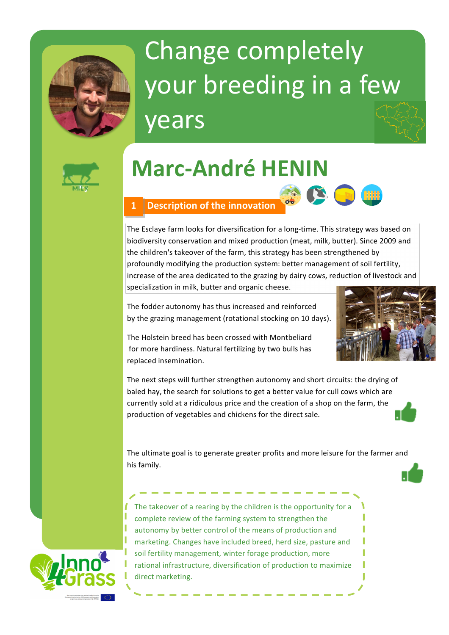

# Change completely your breeding in a few years



# **Marc-André HENIN**

### **1 Description of the innovation**

The Esclaye farm looks for diversification for a long-time. This strategy was based on biodiversity conservation and mixed production (meat, milk, butter). Since 2009 and the children's takeover of the farm, this strategy has been strengthened by profoundly modifying the production system: better management of soil fertility, increase of the area dedicated to the grazing by dairy cows, reduction of livestock and specialization in milk, butter and organic cheese.

The fodder autonomy has thus increased and reinforced by the grazing management (rotational stocking on 10 days).



The Holstein breed has been crossed with Montbeliard for more hardiness. Natural fertilizing by two bulls has replaced insemination.

The next steps will further strengthen autonomy and short circuits: the drying of baled hay, the search for solutions to get a better value for cull cows which are currently sold at a ridiculous price and the creation of a shop on the farm, the production of vegetables and chickens for the direct sale.

The ultimate goal is to generate greater profits and more leisure for the farmer and his family.



The takeover of a rearing by the children is the opportunity for a complete review of the farming system to strengthen the autonomy by better control of the means of production and marketing. Changes have included breed, herd size, pasture and soil fertility management, winter forage production, more rational infrastructure, diversification of production to maximize direct marketing.